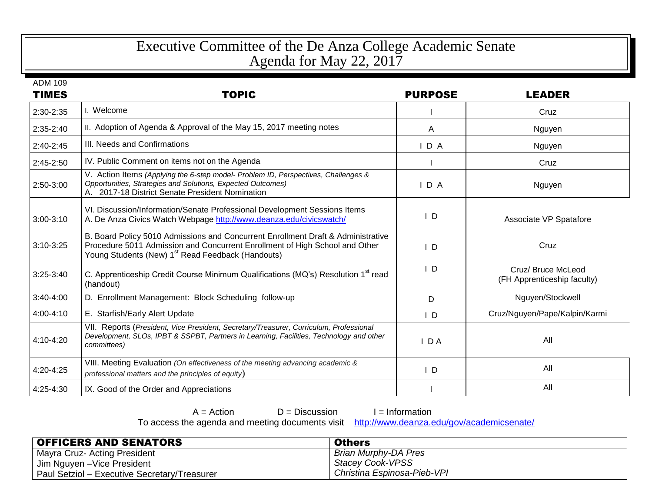## Executive Committee of the De Anza College Academic Senate Agenda for May 22, 2017

| ADM 109 |  |
|---------|--|
|---------|--|

| <b>TIMES</b>  | <b>TOPIC</b>                                                                                                                                                                                                                     | <b>PURPOSE</b> | <b>LEADER</b>                                     |
|---------------|----------------------------------------------------------------------------------------------------------------------------------------------------------------------------------------------------------------------------------|----------------|---------------------------------------------------|
| 2:30-2:35     | I. Welcome                                                                                                                                                                                                                       |                | Cruz                                              |
| 2:35-2:40     | II. Adoption of Agenda & Approval of the May 15, 2017 meeting notes                                                                                                                                                              | A              | Nguyen                                            |
| $2:40-2:45$   | III. Needs and Confirmations                                                                                                                                                                                                     | IDA            | Nguyen                                            |
| 2:45-2:50     | IV. Public Comment on items not on the Agenda                                                                                                                                                                                    |                | Cruz                                              |
| 2:50-3:00     | V. Action Items (Applying the 6-step model- Problem ID, Perspectives, Challenges &<br>Opportunities, Strategies and Solutions, Expected Outcomes)<br>A. 2017-18 District Senate President Nomination                             | $I$ D A        | Nguyen                                            |
| $3:00-3:10$   | VI. Discussion/Information/Senate Professional Development Sessions Items<br>A. De Anza Civics Watch Webpage http://www.deanza.edu/civicswatch/                                                                                  | $\mathsf{I}$   | Associate VP Spatafore                            |
| $3:10-3:25$   | B. Board Policy 5010 Admissions and Concurrent Enrollment Draft & Administrative<br>Procedure 5011 Admission and Concurrent Enrollment of High School and Other<br>Young Students (New) 1 <sup>st</sup> Read Feedback (Handouts) | $\mathsf{I}$ D | Cruz                                              |
| $3:25 - 3:40$ | C. Apprenticeship Credit Course Minimum Qualifications (MQ's) Resolution 1 <sup>st</sup> read<br>(handout)                                                                                                                       | $\mathsf{L}$   | Cruz/ Bruce McLeod<br>(FH Apprenticeship faculty) |
| 3:40-4:00     | D. Enrollment Management: Block Scheduling follow-up                                                                                                                                                                             | D              | Nguyen/Stockwell                                  |
| 4:00-4:10     | E. Starfish/Early Alert Update                                                                                                                                                                                                   | $\mathsf{I}$ D | Cruz/Nguyen/Pape/Kalpin/Karmi                     |
| 4:10-4:20     | VII. Reports (President, Vice President, Secretary/Treasurer, Curriculum, Professional<br>Development, SLOs, IPBT & SSPBT, Partners in Learning, Facilities, Technology and other<br>committees)                                 | $I$ DA         | All                                               |
| 4:20-4:25     | VIII. Meeting Evaluation (On effectiveness of the meeting advancing academic &<br>professional matters and the principles of equity)                                                                                             | $\mathsf{L}$   | All                                               |
| 4:25-4:30     | IX. Good of the Order and Appreciations                                                                                                                                                                                          |                | All                                               |

| $A = Action$                       | $D = Discu$ |
|------------------------------------|-------------|
| ess the agenda and meeting documer |             |

ission **I** = Information<br>hts visit <u>http://www.deanza.edu/gov/academicsenate/</u> To access the agenda and meeting documents visit

| <b>OFFICERS AND SENATORS</b>                 | <b>Others</b>               |
|----------------------------------------------|-----------------------------|
| Mayra Cruz- Acting President                 | Brian Murphy-DA Pres        |
| <sup>1</sup> Jim Nguyen –Vice President      | <b>Stacey Cook-VPSS</b>     |
| Paul Setziol - Executive Secretary/Treasurer | Christina Espinosa-Pieb-VPI |